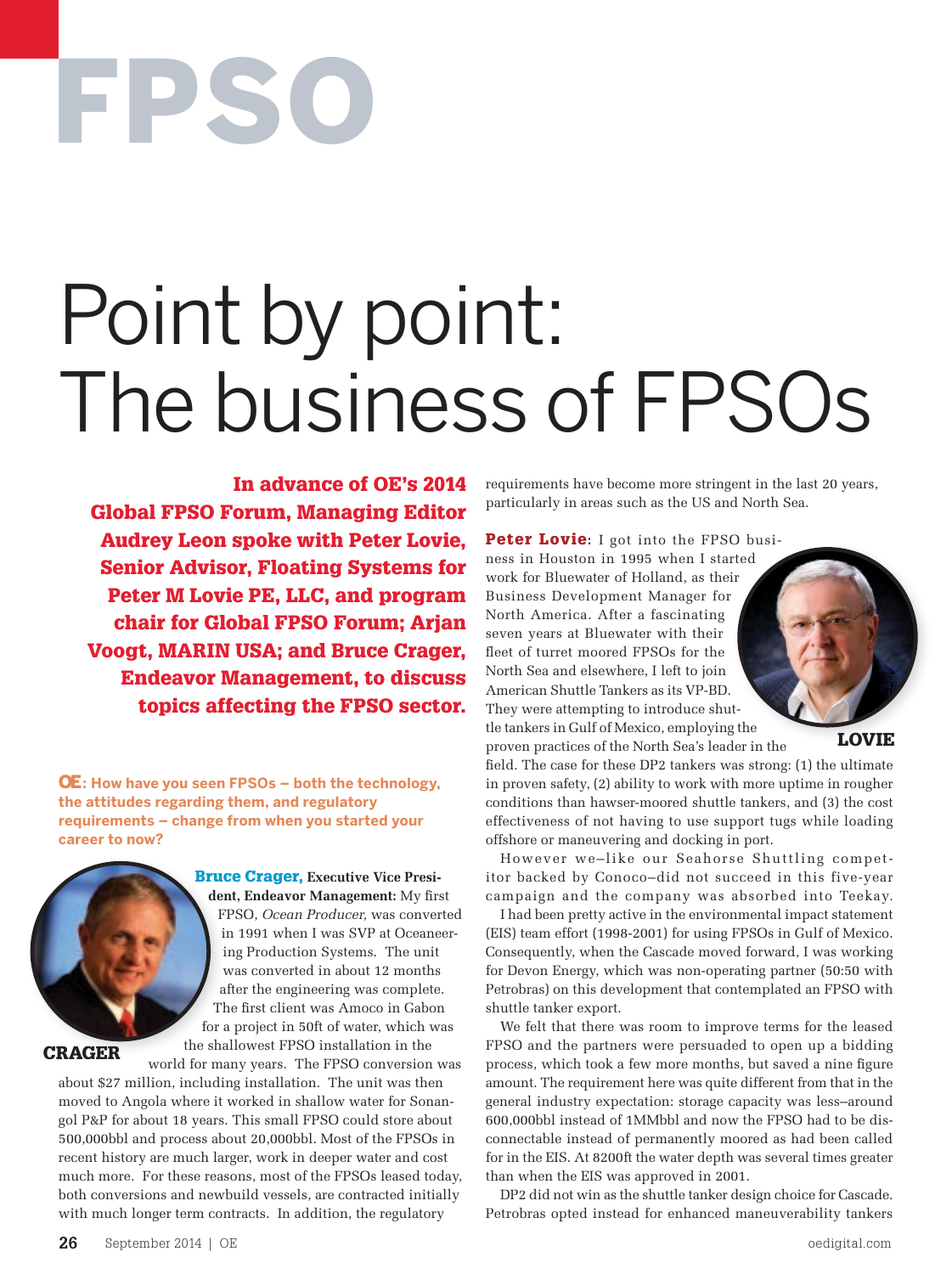# FPSO

## Point by point: The business of FPSOs

In advance of OE's 2014 Global FPSO Forum, Managing Editor Audrey Leon spoke with Peter Lovie, Senior Advisor, Floating Systems for Peter M Lovie PE, LLC, and program chair for Global FPSO Forum; Arjan Voogt, MARIN USA; and Bruce Crager, Endeavor Management, to discuss topics affecting the FPSO sector.

OE**: How have you seen FPSOs – both the technology, the attitudes regarding them, and regulatory requirements – change from when you started your career to now?**



Bruce Crager, **Executive Vice President, Endeavor Management:** My first FPSO, *Ocean Producer,* was converted in 1991 when I was SVP at Oceaneering Production Systems. The unit was converted in about 12 months after the engineering was complete. The first client was Amoco in Gabon for a project in 50ft of water, which was the shallowest FPSO installation in the

CRAGER

world for many years. The FPSO conversion was about \$27 million, including installation. The unit was then moved to Angola where it worked in shallow water for Sonangol P&P for about 18 years. This small FPSO could store about 500,000bbl and process about 20,000bbl. Most of the FPSOs in recent history are much larger, work in deeper water and cost much more. For these reasons, most of the FPSOs leased today, both conversions and newbuild vessels, are contracted initially with much longer term contracts. In addition, the regulatory

requirements have become more stringent in the last 20 years, particularly in areas such as the US and North Sea.

**Peter Lovie:** I got into the FPSO business in Houston in 1995 when I started work for Bluewater of Holland, as their Business Development Manager for North America. After a fascinating seven years at Bluewater with their fleet of turret moored FPSOs for the North Sea and elsewhere, I left to join American Shuttle Tankers as its VP-BD. They were attempting to introduce shuttle tankers in Gulf of Mexico, employing the proven practices of the North Sea's leader in the

LOVIE

field. The case for these DP2 tankers was strong: (1) the ultimate in proven safety, (2) ability to work with more uptime in rougher conditions than hawser-moored shuttle tankers, and (3) the cost effectiveness of not having to use support tugs while loading offshore or maneuvering and docking in port.

However we–like our Seahorse Shuttling competitor backed by Conoco–did not succeed in this five-year campaign and the company was absorbed into Teekay.

I had been pretty active in the environmental impact statement (EIS) team effort (1998-2001) for using FPSOs in Gulf of Mexico. Consequently, when the Cascade moved forward, I was working for Devon Energy, which was non-operating partner (50:50 with Petrobras) on this development that contemplated an FPSO with shuttle tanker export.

We felt that there was room to improve terms for the leased FPSO and the partners were persuaded to open up a bidding process, which took a few more months, but saved a nine figure amount. The requirement here was quite different from that in the general industry expectation: storage capacity was less–around 600,000bbl instead of 1MMbbl and now the FPSO had to be disconnectable instead of permanently moored as had been called for in the EIS. At 8200ft the water depth was several times greater than when the EIS was approved in 2001.

DP2 did not win as the shuttle tanker design choice for Cascade. Petrobras opted instead for enhanced maneuverability tankers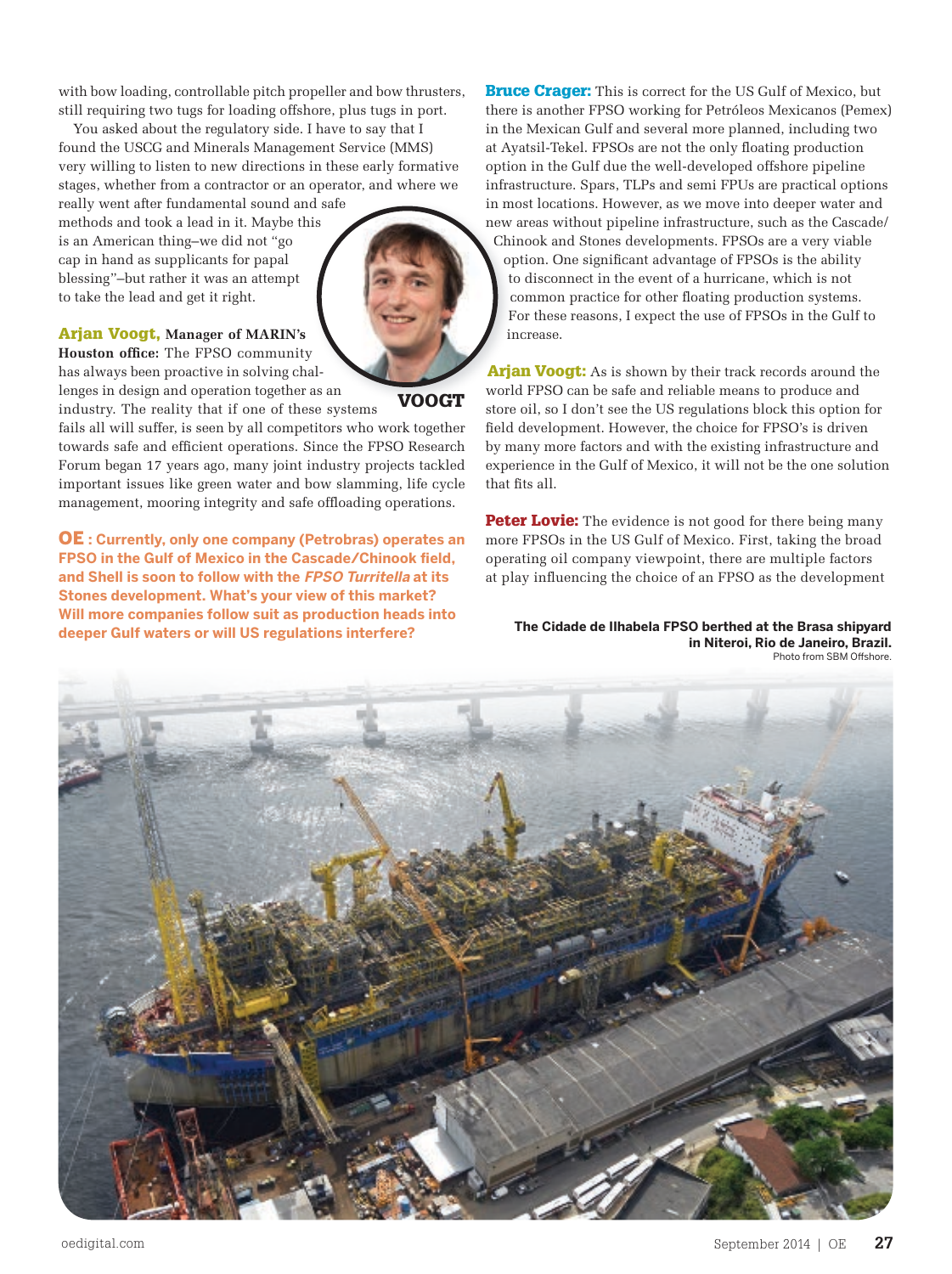with bow loading, controllable pitch propeller and bow thrusters, still requiring two tugs for loading offshore, plus tugs in port.

You asked about the regulatory side. I have to say that I found the USCG and Minerals Management Service (MMS) very willing to listen to new directions in these early formative stages, whether from a contractor or an operator, and where we

really went after fundamental sound and safe methods and took a lead in it. Maybe this is an American thing–we did not "go cap in hand as supplicants for papal blessing"–but rather it was an attempt to take the lead and get it right.

#### Arjan Voogt, **Manager of MARIN's**

**Houston office:** The FPSO community has always been proactive in solving challenges in design and operation together as an

industry. The reality that if one of these systems fails all will suffer, is seen by all competitors who work together towards safe and efficient operations. Since the FPSO Research Forum began 17 years ago, many joint industry projects tackled important issues like green water and bow slamming, life cycle management, mooring integrity and safe offloading operations.

OE **: Currently, only one company (Petrobras) operates an FPSO in the Gulf of Mexico in the Cascade/Chinook field, and Shell is soon to follow with the FPSO Turritella at its Stones development. What's your view of this market? Will more companies follow suit as production heads into deeper Gulf waters or will US regulations interfere?**

**Bruce Crager:** This is correct for the US Gulf of Mexico, but there is another FPSO working for Petróleos Mexicanos (Pemex) in the Mexican Gulf and several more planned, including two at Ayatsil-Tekel. FPSOs are not the only floating production option in the Gulf due the well-developed offshore pipeline infrastructure. Spars, TLPs and semi FPUs are practical options in most locations. However, as we move into deeper water and new areas without pipeline infrastructure, such as the Cascade/ Chinook and Stones developments. FPSOs are a very viable option. One significant advantage of FPSOs is the ability to disconnect in the event of a hurricane, which is not common practice for other floating production systems. For these reasons, I expect the use of FPSOs in the Gulf to increase.

Arjan Voogt: As is shown by their track records around the world FPSO can be safe and reliable means to produce and store oil, so I don't see the US regulations block this option for field development. However, the choice for FPSO's is driven by many more factors and with the existing infrastructure and experience in the Gulf of Mexico, it will not be the one solution that fits all.

**Peter Lovie:** The evidence is not good for there being many more FPSOs in the US Gulf of Mexico. First, taking the broad operating oil company viewpoint, there are multiple factors at play influencing the choice of an FPSO as the development

**The Cidade de Ilhabela FPSO berthed at the Brasa shipyard in Niteroi, Rio de Janeiro, Brazil.**  Photo from SBM Offshore.





VOOGT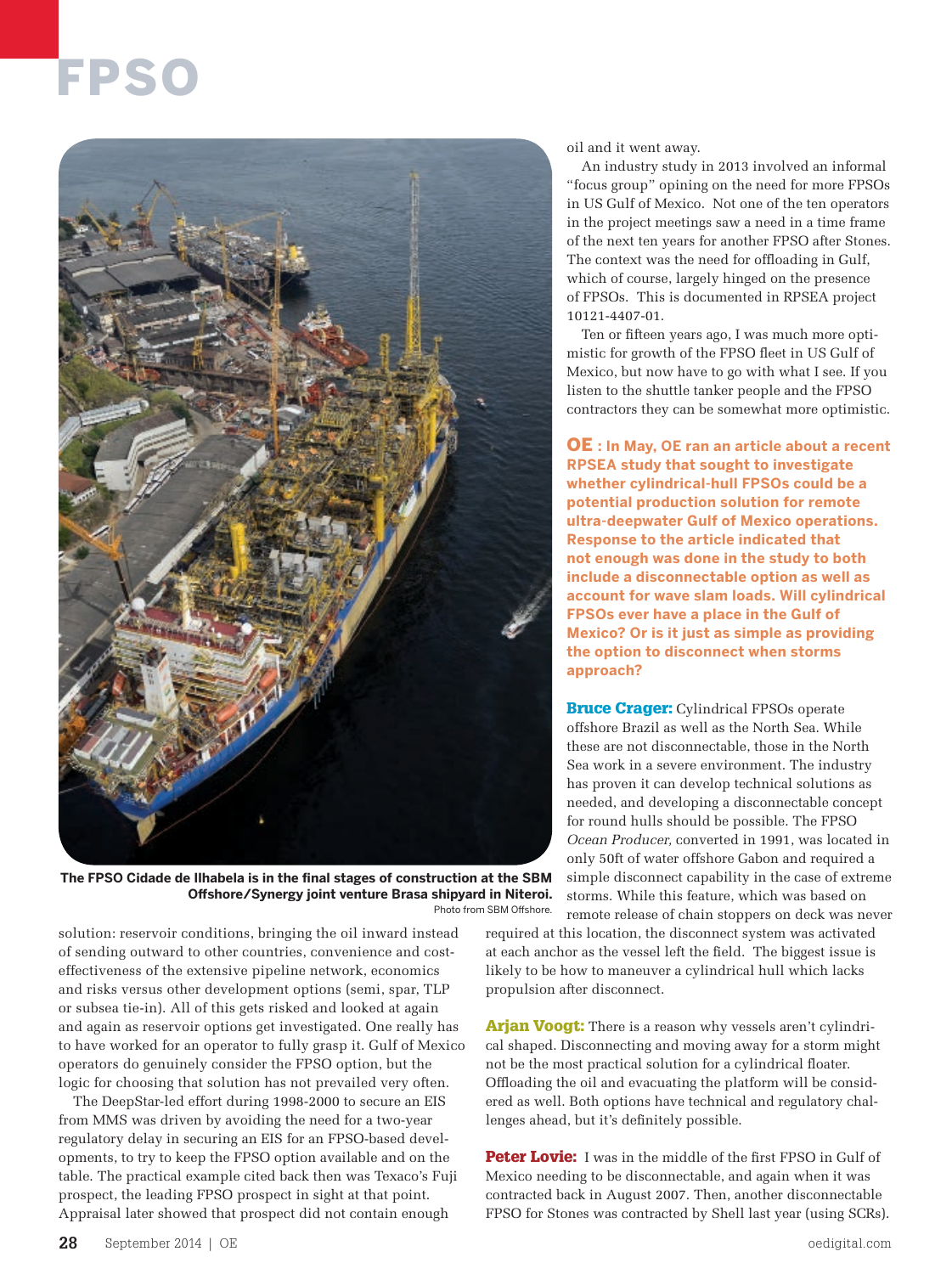### FPSO



**The FPSO Cidade de Ilhabela is in the final stages of construction at the SBM Offshore/Synergy joint venture Brasa shipyard in Niteroi.**  Photo from SBM Offshore.

solution: reservoir conditions, bringing the oil inward instead of sending outward to other countries, convenience and costeffectiveness of the extensive pipeline network, economics and risks versus other development options (semi, spar, TLP or subsea tie-in). All of this gets risked and looked at again and again as reservoir options get investigated. One really has to have worked for an operator to fully grasp it. Gulf of Mexico operators do genuinely consider the FPSO option, but the logic for choosing that solution has not prevailed very often.

The DeepStar-led effort during 1998-2000 to secure an EIS from MMS was driven by avoiding the need for a two-year regulatory delay in securing an EIS for an FPSO-based developments, to try to keep the FPSO option available and on the table. The practical example cited back then was Texaco's Fuji prospect, the leading FPSO prospect in sight at that point. Appraisal later showed that prospect did not contain enough

oil and it went away.

An industry study in 2013 involved an informal "focus group" opining on the need for more FPSOs in US Gulf of Mexico. Not one of the ten operators in the project meetings saw a need in a time frame of the next ten years for another FPSO after Stones. The context was the need for offloading in Gulf, which of course, largely hinged on the presence of FPSOs. This is documented in RPSEA project 10121-4407-01.

Ten or fifteen years ago, I was much more optimistic for growth of the FPSO fleet in US Gulf of Mexico, but now have to go with what I see. If you listen to the shuttle tanker people and the FPSO contractors they can be somewhat more optimistic.

OE **: In May, OE ran an article about a recent RPSEA study that sought to investigate whether cylindrical-hull FPSOs could be a potential production solution for remote ultra-deepwater Gulf of Mexico operations. Response to the article indicated that not enough was done in the study to both include a disconnectable option as well as account for wave slam loads. Will cylindrical FPSOs ever have a place in the Gulf of Mexico? Or is it just as simple as providing the option to disconnect when storms approach?**

**Bruce Crager:** Cylindrical FPSOs operate offshore Brazil as well as the North Sea. While these are not disconnectable, those in the North Sea work in a severe environment. The industry has proven it can develop technical solutions as needed, and developing a disconnectable concept for round hulls should be possible. The FPSO *Ocean Producer,* converted in 1991, was located in only 50ft of water offshore Gabon and required a simple disconnect capability in the case of extreme storms. While this feature, which was based on remote release of chain stoppers on deck was never

required at this location, the disconnect system was activated at each anchor as the vessel left the field. The biggest issue is likely to be how to maneuver a cylindrical hull which lacks propulsion after disconnect.

Arjan Voogt: There is a reason why vessels aren't cylindrical shaped. Disconnecting and moving away for a storm might not be the most practical solution for a cylindrical floater. Offloading the oil and evacuating the platform will be considered as well. Both options have technical and regulatory challenges ahead, but it's definitely possible.

Peter Lovie: I was in the middle of the first FPSO in Gulf of Mexico needing to be disconnectable, and again when it was contracted back in August 2007. Then, another disconnectable FPSO for Stones was contracted by Shell last year (using SCRs).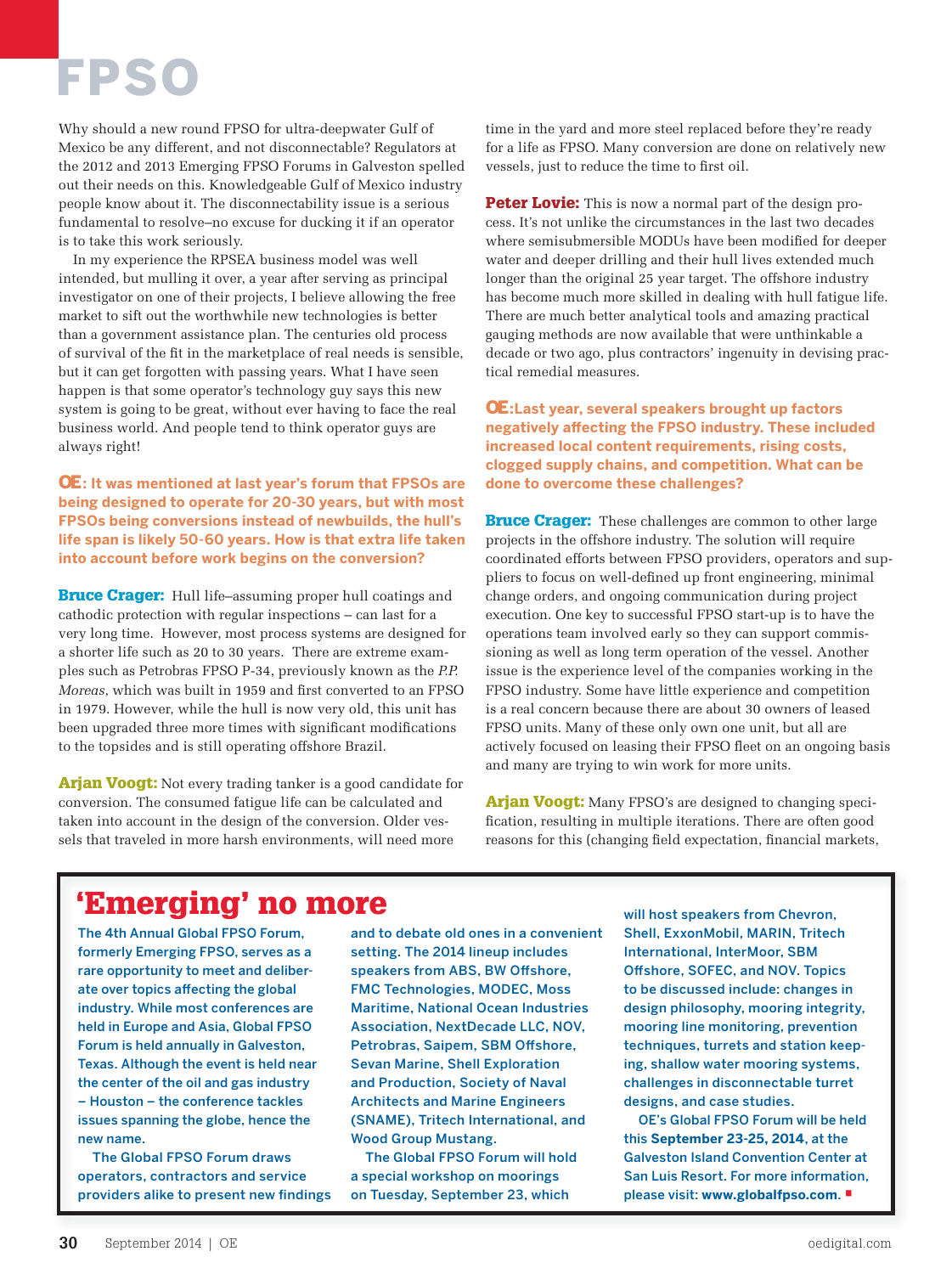## FPSO

Why should a new round FPSO for ultra-deepwater Gulf of Mexico be any different, and not disconnectable? Regulators at the 2012 and 2013 Emerging FPSO Forums in Galveston spelled out their needs on this. Knowledgeable Gulf of Mexico industry people know about it. The disconnectability issue is a serious fundamental to resolve–no excuse for ducking it if an operator is to take this work seriously.

In my experience the RPSEA business model was well intended, but mulling it over, a year after serving as principal investigator on one of their projects, I believe allowing the free market to sift out the worthwhile new technologies is better than a government assistance plan. The centuries old process of survival of the fit in the marketplace of real needs is sensible, but it can get forgotten with passing years. What I have seen happen is that some operator's technology guy says this new system is going to be great, without ever having to face the real business world. And people tend to think operator guys are always right!

OE**: It was mentioned at last year's forum that FPSOs are being designed to operate for 20-30 years, but with most FPSOs being conversions instead of newbuilds, the hull's life span is likely 50-60 years. How is that extra life taken into account before work begins on the conversion?**

**Bruce Crager:** Hull life–assuming proper hull coatings and cathodic protection with regular inspections – can last for a very long time. However, most process systems are designed for a shorter life such as 20 to 30 years. There are extreme examples such as Petrobras FPSO P-34, previously known as the *P.P. Moreas*, which was built in 1959 and first converted to an FPSO in 1979. However, while the hull is now very old, this unit has been upgraded three more times with significant modifications to the topsides and is still operating offshore Brazil.

Arjan Voogt: Not every trading tanker is a good candidate for conversion. The consumed fatigue life can be calculated and taken into account in the design of the conversion. Older vessels that traveled in more harsh environments, will need more

time in the yard and more steel replaced before they're ready for a life as FPSO. Many conversion are done on relatively new vessels, just to reduce the time to first oil.

**Peter Lovie:** This is now a normal part of the design process. It's not unlike the circumstances in the last two decades where semisubmersible MODUs have been modified for deeper water and deeper drilling and their hull lives extended much longer than the original 25 year target. The offshore industry has become much more skilled in dealing with hull fatigue life. There are much better analytical tools and amazing practical gauging methods are now available that were unthinkable a decade or two ago, plus contractors' ingenuity in devising practical remedial measures.

OE**:Last year, several speakers brought up factors negatively affecting the FPSO industry. These included increased local content requirements, rising costs, clogged supply chains, and competition. What can be done to overcome these challenges?**

**Bruce Crager:** These challenges are common to other large projects in the offshore industry. The solution will require coordinated efforts between FPSO providers, operators and suppliers to focus on well-defined up front engineering, minimal change orders, and ongoing communication during project execution. One key to successful FPSO start-up is to have the operations team involved early so they can support commissioning as well as long term operation of the vessel. Another issue is the experience level of the companies working in the FPSO industry. Some have little experience and competition is a real concern because there are about 30 owners of leased FPSO units. Many of these only own one unit, but all are actively focused on leasing their FPSO fleet on an ongoing basis and many are trying to win work for more units.

**Arjan Voogt:** Many FPSO's are designed to changing specification, resulting in multiple iterations. There are often good reasons for this (changing field expectation, financial markets,

#### 'Emerging' no more

The 4th Annual Global FPSO Forum, formerly Emerging FPSO, serves as a rare opportunity to meet and deliberate over topics affecting the global industry. While most conferences are held in Europe and Asia, Global FPSO Forum is held annually in Galveston, Texas. Although the event is held near the center of the oil and gas industry – Houston – the conference tackles issues spanning the globe, hence the new name.

The Global FPSO Forum draws operators, contractors and service providers alike to present new findings and to debate old ones in a convenient setting. The 2014 lineup includes speakers from ABS, BW Offshore, FMC Technologies, MODEC, Moss Maritime, National Ocean Industries Association, NextDecade LLC, NOV, Petrobras, Saipem, SBM Offshore, Sevan Marine, Shell Exploration and Production, Society of Naval Architects and Marine Engineers (SNAME), Tritech International, and Wood Group Mustang.

The Global FPSO Forum will hold a special workshop on moorings on Tuesday, September 23, which

will host speakers from Chevron, Shell, ExxonMobil, MARIN, Tritech International, InterMoor, SBM Offshore, SOFEC, and NOV. Topics to be discussed include: changes in design philosophy, mooring integrity, mooring line monitoring, prevention techniques, turrets and station keeping, shallow water mooring systems, challenges in disconnectable turret designs, and case studies.

OE's Global FPSO Forum will be held this **September 23-25, 2014**, at the Galveston Island Convention Center at San Luis Resort. For more information, please visit: **www.globalfpso.com**. •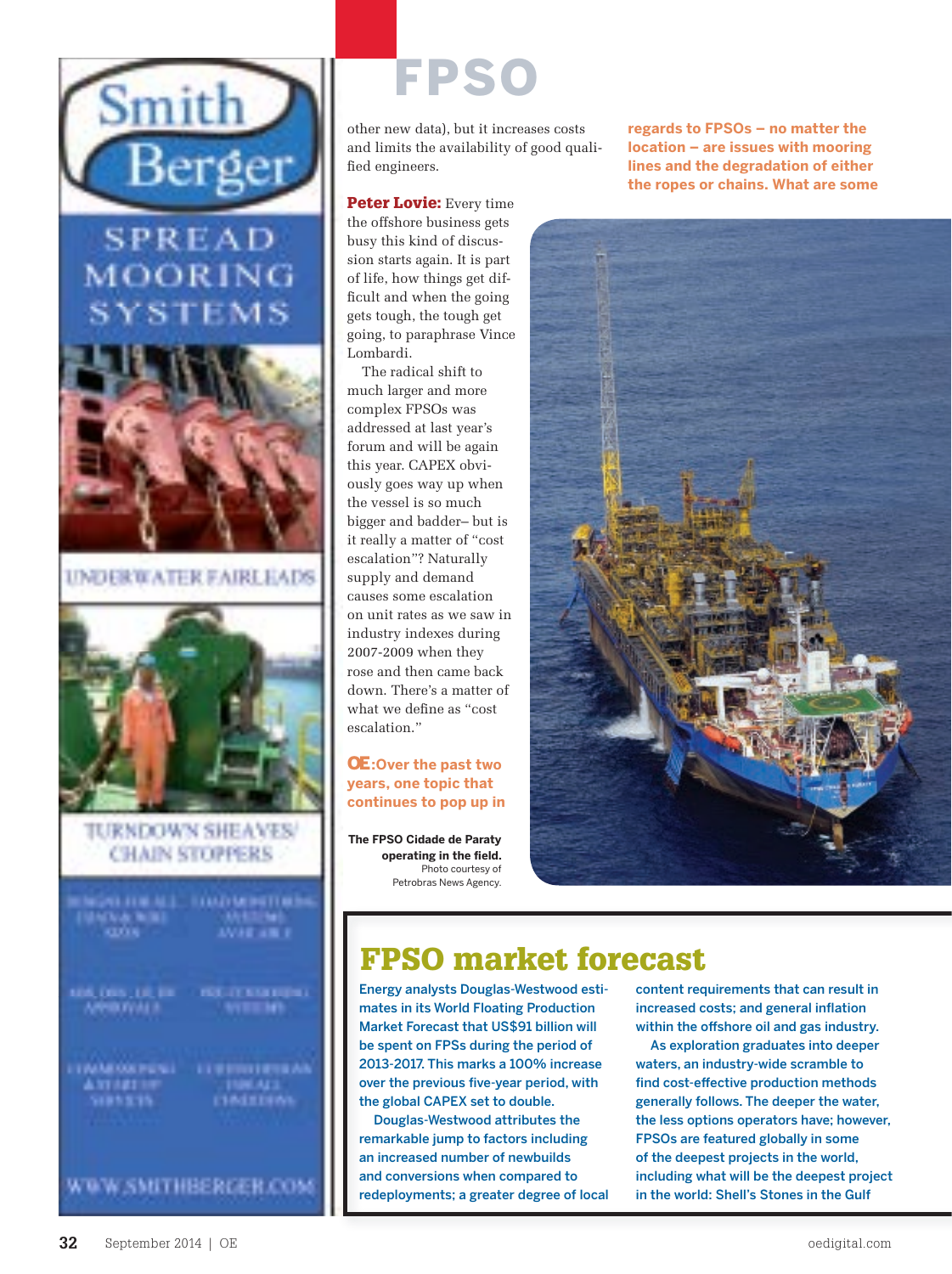

FPSO

other new data), but it increases costs and limits the availability of good qualified engineers.

Peter Lovie: Every time the offshore business gets busy this kind of discussion starts again. It is part of life, how things get difficult and when the going gets tough, the tough get going, to paraphrase Vince Lombardi.

The radical shift to much larger and more complex FPSOs was addressed at last year's forum and will be again this year. CAPEX obviously goes way up when the vessel is so much bigger and badder– but is it really a matter of "cost escalation"? Naturally supply and demand causes some escalation on unit rates as we saw in industry indexes during 2007-2009 when they rose and then came back down. There's a matter of what we define as "cost escalation."

#### OE**:Over the past two years, one topic that continues to pop up in**

**The FPSO Cidade de Paraty operating in the field.**  Photo courtesy of Petrobras News Agency. **regards to FPSOs – no matter the location – are issues with mooring lines and the degradation of either the ropes or chains. What are some** 



#### FPSO market forecast

Energy analysts Douglas-Westwood estimates in its World Floating Production Market Forecast that US\$91 billion will be spent on FPSs during the period of 2013-2017. This marks a 100% increase over the previous five-year period, with the global CAPEX set to double.

Douglas-Westwood attributes the remarkable jump to factors including an increased number of newbuilds and conversions when compared to redeployments; a greater degree of local content requirements that can result in increased costs; and general inflation within the offshore oil and gas industry.

As exploration graduates into deeper waters, an industry-wide scramble to find cost-effective production methods generally follows. The deeper the water, the less options operators have; however, FPSOs are featured globally in some of the deepest projects in the world, including what will be the deepest project in the world: Shell's Stones in the Gulf